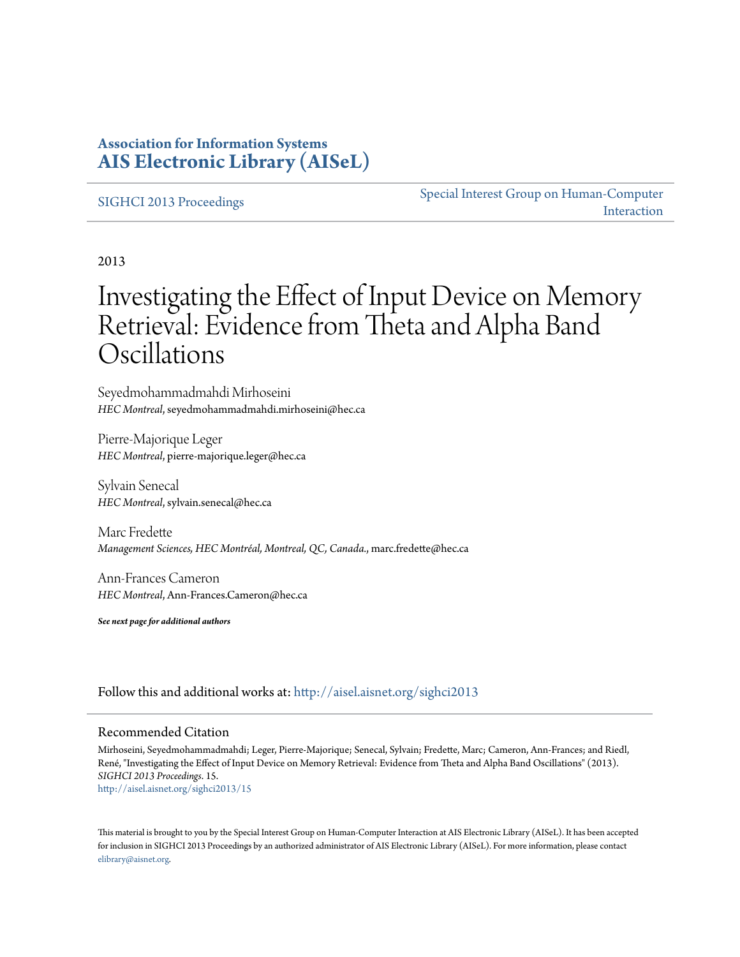### **Association for Information Systems [AIS Electronic Library \(AISeL\)](http://aisel.aisnet.org?utm_source=aisel.aisnet.org%2Fsighci2013%2F15&utm_medium=PDF&utm_campaign=PDFCoverPages)**

#### [SIGHCI 2013 Proceedings](http://aisel.aisnet.org/sighci2013?utm_source=aisel.aisnet.org%2Fsighci2013%2F15&utm_medium=PDF&utm_campaign=PDFCoverPages)

[Special Interest Group on Human-Computer](http://aisel.aisnet.org/sighci?utm_source=aisel.aisnet.org%2Fsighci2013%2F15&utm_medium=PDF&utm_campaign=PDFCoverPages) [Interaction](http://aisel.aisnet.org/sighci?utm_source=aisel.aisnet.org%2Fsighci2013%2F15&utm_medium=PDF&utm_campaign=PDFCoverPages)

2013

# Investigating the Effect of Input Device on Memory Retrieval: Evidence from Theta and Alpha Band Oscillations

Seyedmohammadmahdi Mirhoseini *HEC Montreal*, seyedmohammadmahdi.mirhoseini@hec.ca

Pierre-Majorique Leger *HEC Montreal*, pierre-majorique.leger@hec.ca

Sylvain Senecal *HEC Montreal*, sylvain.senecal@hec.ca

Marc Fredette *Management Sciences, HEC Montréal, Montreal, QC, Canada.*, marc.fredette@hec.ca

Ann-Frances Cameron *HEC Montreal*, Ann-Frances.Cameron@hec.ca

*See next page for additional authors*

Follow this and additional works at: [http://aisel.aisnet.org/sighci2013](http://aisel.aisnet.org/sighci2013?utm_source=aisel.aisnet.org%2Fsighci2013%2F15&utm_medium=PDF&utm_campaign=PDFCoverPages)

#### Recommended Citation

Mirhoseini, Seyedmohammadmahdi; Leger, Pierre-Majorique; Senecal, Sylvain; Fredette, Marc; Cameron, Ann-Frances; and Riedl, René, "Investigating the Effect of Input Device on Memory Retrieval: Evidence from Theta and Alpha Band Oscillations" (2013). *SIGHCI 2013 Proceedings*. 15. [http://aisel.aisnet.org/sighci2013/15](http://aisel.aisnet.org/sighci2013/15?utm_source=aisel.aisnet.org%2Fsighci2013%2F15&utm_medium=PDF&utm_campaign=PDFCoverPages)

This material is brought to you by the Special Interest Group on Human-Computer Interaction at AIS Electronic Library (AISeL). It has been accepted for inclusion in SIGHCI 2013 Proceedings by an authorized administrator of AIS Electronic Library (AISeL). For more information, please contact [elibrary@aisnet.org.](mailto:elibrary@aisnet.org%3E)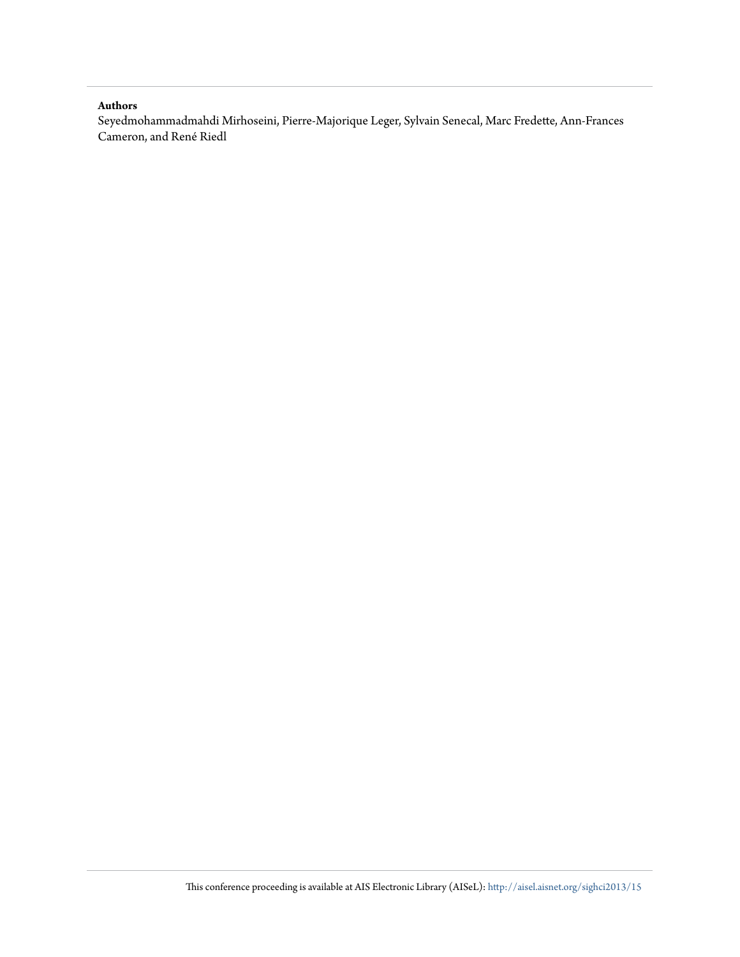#### **Authors**

Seyedmohammadmahdi Mirhoseini, Pierre-Majorique Leger, Sylvain Senecal, Marc Fredette, Ann-Frances Cameron, and René Riedl